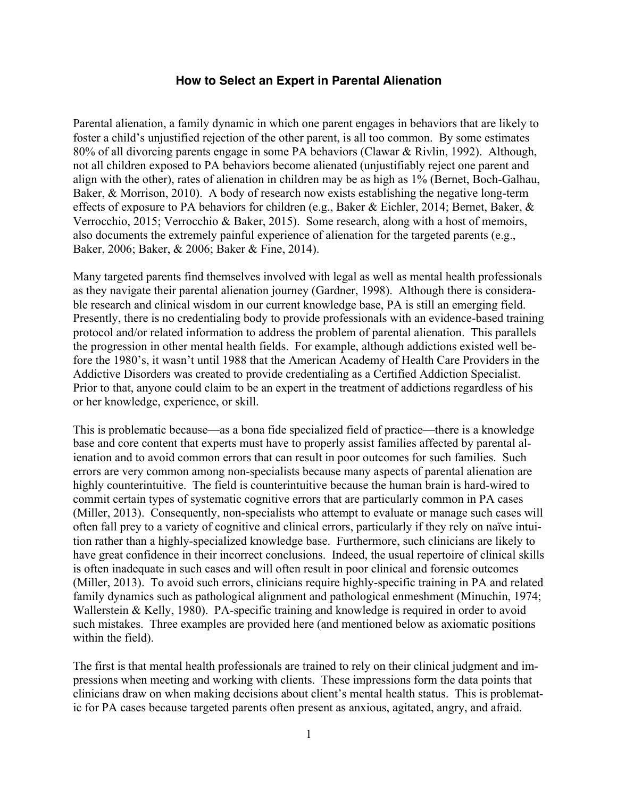Parental alienation, a family dynamic in which one parent engages in behaviors that are likely to foster a child's unjustified rejection of the other parent, is all too common. By some estimates 80% of all divorcing parents engage in some PA behaviors (Clawar & Rivlin, 1992). Although, not all children exposed to PA behaviors become alienated (unjustifiably reject one parent and align with the other), rates of alienation in children may be as high as 1% (Bernet, Boch-Galhau, Baker, & Morrison, 2010). A body of research now exists establishing the negative long-term effects of exposure to PA behaviors for children (e.g., Baker & Eichler, 2014; Bernet, Baker, & Verrocchio, 2015; Verrocchio & Baker, 2015). Some research, along with a host of memoirs, also documents the extremely painful experience of alienation for the targeted parents (e.g., Baker, 2006; Baker, & 2006; Baker & Fine, 2014).

Many targeted parents find themselves involved with legal as well as mental health professionals as they navigate their parental alienation journey (Gardner, 1998). Although there is considerable research and clinical wisdom in our current knowledge base, PA is still an emerging field. Presently, there is no credentialing body to provide professionals with an evidence-based training protocol and/or related information to address the problem of parental alienation. This parallels the progression in other mental health fields. For example, although addictions existed well before the 1980's, it wasn't until 1988 that the American Academy of Health Care Providers in the Addictive Disorders was created to provide credentialing as a Certified Addiction Specialist. Prior to that, anyone could claim to be an expert in the treatment of addictions regardless of his or her knowledge, experience, or skill.

This is problematic because—as a bona fide specialized field of practice—there is a knowledge base and core content that experts must have to properly assist families affected by parental alienation and to avoid common errors that can result in poor outcomes for such families. Such errors are very common among non-specialists because many aspects of parental alienation are highly counterintuitive. The field is counterintuitive because the human brain is hard-wired to commit certain types of systematic cognitive errors that are particularly common in PA cases (Miller, 2013). Consequently, non-specialists who attempt to evaluate or manage such cases will often fall prey to a variety of cognitive and clinical errors, particularly if they rely on naïve intuition rather than a highly-specialized knowledge base. Furthermore, such clinicians are likely to have great confidence in their incorrect conclusions. Indeed, the usual repertoire of clinical skills is often inadequate in such cases and will often result in poor clinical and forensic outcomes (Miller, 2013). To avoid such errors, clinicians require highly-specific training in PA and related family dynamics such as pathological alignment and pathological enmeshment (Minuchin, 1974; Wallerstein & Kelly, 1980). PA-specific training and knowledge is required in order to avoid such mistakes. Three examples are provided here (and mentioned below as axiomatic positions within the field).

The first is that mental health professionals are trained to rely on their clinical judgment and impressions when meeting and working with clients. These impressions form the data points that clinicians draw on when making decisions about client's mental health status. This is problematic for PA cases because targeted parents often present as anxious, agitated, angry, and afraid.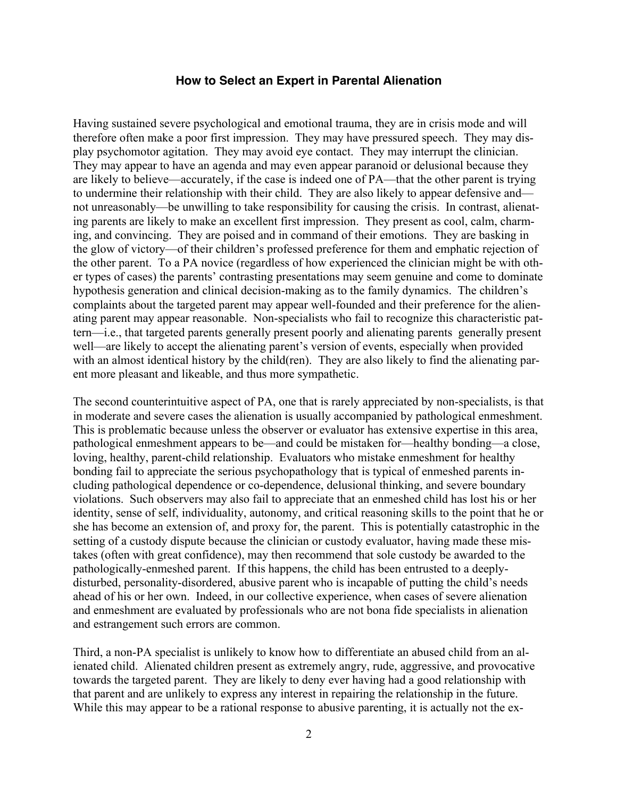Having sustained severe psychological and emotional trauma, they are in crisis mode and will therefore often make a poor first impression. They may have pressured speech. They may display psychomotor agitation. They may avoid eye contact. They may interrupt the clinician. They may appear to have an agenda and may even appear paranoid or delusional because they are likely to believe—accurately, if the case is indeed one of PA—that the other parent is trying to undermine their relationship with their child. They are also likely to appear defensive and not unreasonably—be unwilling to take responsibility for causing the crisis. In contrast, alienating parents are likely to make an excellent first impression. They present as cool, calm, charming, and convincing. They are poised and in command of their emotions. They are basking in the glow of victory—of their children's professed preference for them and emphatic rejection of the other parent. To a PA novice (regardless of how experienced the clinician might be with other types of cases) the parents' contrasting presentations may seem genuine and come to dominate hypothesis generation and clinical decision-making as to the family dynamics. The children's complaints about the targeted parent may appear well-founded and their preference for the alienating parent may appear reasonable. Non-specialists who fail to recognize this characteristic pattern—i.e., that targeted parents generally present poorly and alienating parents generally present well—are likely to accept the alienating parent's version of events, especially when provided with an almost identical history by the child(ren). They are also likely to find the alienating parent more pleasant and likeable, and thus more sympathetic.

The second counterintuitive aspect of PA, one that is rarely appreciated by non-specialists, is that in moderate and severe cases the alienation is usually accompanied by pathological enmeshment. This is problematic because unless the observer or evaluator has extensive expertise in this area, pathological enmeshment appears to be—and could be mistaken for—healthy bonding—a close, loving, healthy, parent-child relationship. Evaluators who mistake enmeshment for healthy bonding fail to appreciate the serious psychopathology that is typical of enmeshed parents including pathological dependence or co-dependence, delusional thinking, and severe boundary violations. Such observers may also fail to appreciate that an enmeshed child has lost his or her identity, sense of self, individuality, autonomy, and critical reasoning skills to the point that he or she has become an extension of, and proxy for, the parent. This is potentially catastrophic in the setting of a custody dispute because the clinician or custody evaluator, having made these mistakes (often with great confidence), may then recommend that sole custody be awarded to the pathologically-enmeshed parent. If this happens, the child has been entrusted to a deeplydisturbed, personality-disordered, abusive parent who is incapable of putting the child's needs ahead of his or her own. Indeed, in our collective experience, when cases of severe alienation and enmeshment are evaluated by professionals who are not bona fide specialists in alienation and estrangement such errors are common.

Third, a non-PA specialist is unlikely to know how to differentiate an abused child from an alienated child. Alienated children present as extremely angry, rude, aggressive, and provocative towards the targeted parent. They are likely to deny ever having had a good relationship with that parent and are unlikely to express any interest in repairing the relationship in the future. While this may appear to be a rational response to abusive parenting, it is actually not the ex-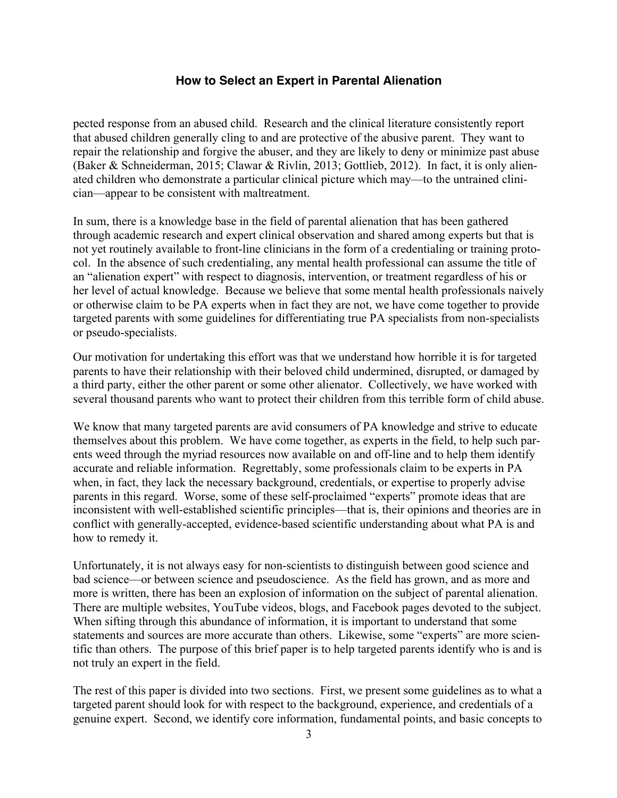pected response from an abused child. Research and the clinical literature consistently report that abused children generally cling to and are protective of the abusive parent. They want to repair the relationship and forgive the abuser, and they are likely to deny or minimize past abuse (Baker & Schneiderman, 2015; Clawar & Rivlin, 2013; Gottlieb, 2012). In fact, it is only alienated children who demonstrate a particular clinical picture which may—to the untrained clinician—appear to be consistent with maltreatment.

In sum, there is a knowledge base in the field of parental alienation that has been gathered through academic research and expert clinical observation and shared among experts but that is not yet routinely available to front-line clinicians in the form of a credentialing or training protocol. In the absence of such credentialing, any mental health professional can assume the title of an "alienation expert" with respect to diagnosis, intervention, or treatment regardless of his or her level of actual knowledge. Because we believe that some mental health professionals naively or otherwise claim to be PA experts when in fact they are not, we have come together to provide targeted parents with some guidelines for differentiating true PA specialists from non-specialists or pseudo-specialists.

Our motivation for undertaking this effort was that we understand how horrible it is for targeted parents to have their relationship with their beloved child undermined, disrupted, or damaged by a third party, either the other parent or some other alienator. Collectively, we have worked with several thousand parents who want to protect their children from this terrible form of child abuse.

We know that many targeted parents are avid consumers of PA knowledge and strive to educate themselves about this problem. We have come together, as experts in the field, to help such parents weed through the myriad resources now available on and off-line and to help them identify accurate and reliable information. Regrettably, some professionals claim to be experts in PA when, in fact, they lack the necessary background, credentials, or expertise to properly advise parents in this regard. Worse, some of these self-proclaimed "experts" promote ideas that are inconsistent with well-established scientific principles—that is, their opinions and theories are in conflict with generally-accepted, evidence-based scientific understanding about what PA is and how to remedy it.

Unfortunately, it is not always easy for non-scientists to distinguish between good science and bad science—or between science and pseudoscience. As the field has grown, and as more and more is written, there has been an explosion of information on the subject of parental alienation. There are multiple websites, YouTube videos, blogs, and Facebook pages devoted to the subject. When sifting through this abundance of information, it is important to understand that some statements and sources are more accurate than others. Likewise, some "experts" are more scientific than others. The purpose of this brief paper is to help targeted parents identify who is and is not truly an expert in the field.

The rest of this paper is divided into two sections. First, we present some guidelines as to what a targeted parent should look for with respect to the background, experience, and credentials of a genuine expert. Second, we identify core information, fundamental points, and basic concepts to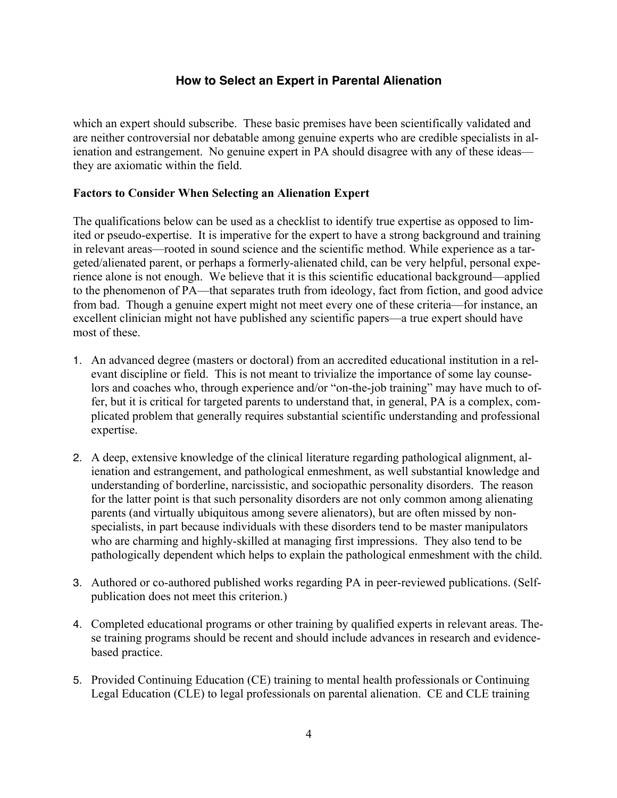which an expert should subscribe. These basic premises have been scientifically validated and are neither controversial nor debatable among genuine experts who are credible specialists in alienation and estrangement. No genuine expert in PA should disagree with any of these ideas they are axiomatic within the field.

### **Factors to Consider When Selecting an Alienation Expert**

The qualifications below can be used as a checklist to identify true expertise as opposed to limited or pseudo-expertise. It is imperative for the expert to have a strong background and training in relevant areas—rooted in sound science and the scientific method. While experience as a targeted/alienated parent, or perhaps a formerly-alienated child, can be very helpful, personal experience alone is not enough. We believe that it is this scientific educational background—applied to the phenomenon of PA—that separates truth from ideology, fact from fiction, and good advice from bad. Though a genuine expert might not meet every one of these criteria—for instance, an excellent clinician might not have published any scientific papers—a true expert should have most of these.

- 1. An advanced degree (masters or doctoral) from an accredited educational institution in a relevant discipline or field. This is not meant to trivialize the importance of some lay counselors and coaches who, through experience and/or "on-the-job training" may have much to offer, but it is critical for targeted parents to understand that, in general, PA is a complex, complicated problem that generally requires substantial scientific understanding and professional expertise.
- 2. A deep, extensive knowledge of the clinical literature regarding pathological alignment, alienation and estrangement, and pathological enmeshment, as well substantial knowledge and understanding of borderline, narcissistic, and sociopathic personality disorders. The reason for the latter point is that such personality disorders are not only common among alienating parents (and virtually ubiquitous among severe alienators), but are often missed by nonspecialists, in part because individuals with these disorders tend to be master manipulators who are charming and highly-skilled at managing first impressions. They also tend to be pathologically dependent which helps to explain the pathological enmeshment with the child.
- 3. Authored or co-authored published works regarding PA in peer-reviewed publications. (Selfpublication does not meet this criterion.)
- 4. Completed educational programs or other training by qualified experts in relevant areas. These training programs should be recent and should include advances in research and evidencebased practice.
- 5. Provided Continuing Education (CE) training to mental health professionals or Continuing Legal Education (CLE) to legal professionals on parental alienation. CE and CLE training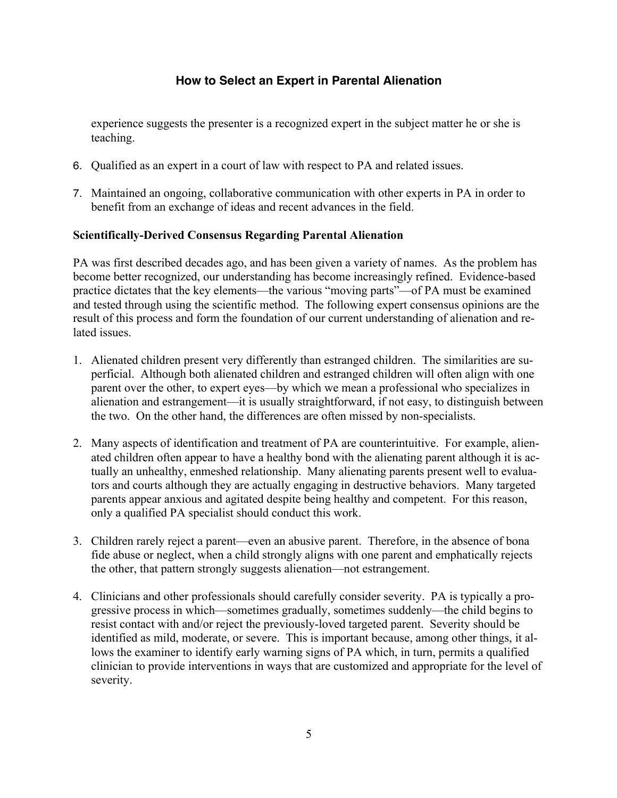experience suggests the presenter is a recognized expert in the subject matter he or she is teaching.

- 6. Qualified as an expert in a court of law with respect to PA and related issues.
- 7. Maintained an ongoing, collaborative communication with other experts in PA in order to benefit from an exchange of ideas and recent advances in the field.

# **Scientifically-Derived Consensus Regarding Parental Alienation**

PA was first described decades ago, and has been given a variety of names. As the problem has become better recognized, our understanding has become increasingly refined. Evidence-based practice dictates that the key elements—the various "moving parts"—of PA must be examined and tested through using the scientific method. The following expert consensus opinions are the result of this process and form the foundation of our current understanding of alienation and related issues.

- 1. Alienated children present very differently than estranged children. The similarities are superficial. Although both alienated children and estranged children will often align with one parent over the other, to expert eyes—by which we mean a professional who specializes in alienation and estrangement—it is usually straightforward, if not easy, to distinguish between the two. On the other hand, the differences are often missed by non-specialists.
- 2. Many aspects of identification and treatment of PA are counterintuitive. For example, alienated children often appear to have a healthy bond with the alienating parent although it is actually an unhealthy, enmeshed relationship. Many alienating parents present well to evaluators and courts although they are actually engaging in destructive behaviors. Many targeted parents appear anxious and agitated despite being healthy and competent. For this reason, only a qualified PA specialist should conduct this work.
- 3. Children rarely reject a parent—even an abusive parent. Therefore, in the absence of bona fide abuse or neglect, when a child strongly aligns with one parent and emphatically rejects the other, that pattern strongly suggests alienation—not estrangement.
- 4. Clinicians and other professionals should carefully consider severity. PA is typically a progressive process in which—sometimes gradually, sometimes suddenly—the child begins to resist contact with and/or reject the previously-loved targeted parent. Severity should be identified as mild, moderate, or severe. This is important because, among other things, it allows the examiner to identify early warning signs of PA which, in turn, permits a qualified clinician to provide interventions in ways that are customized and appropriate for the level of severity.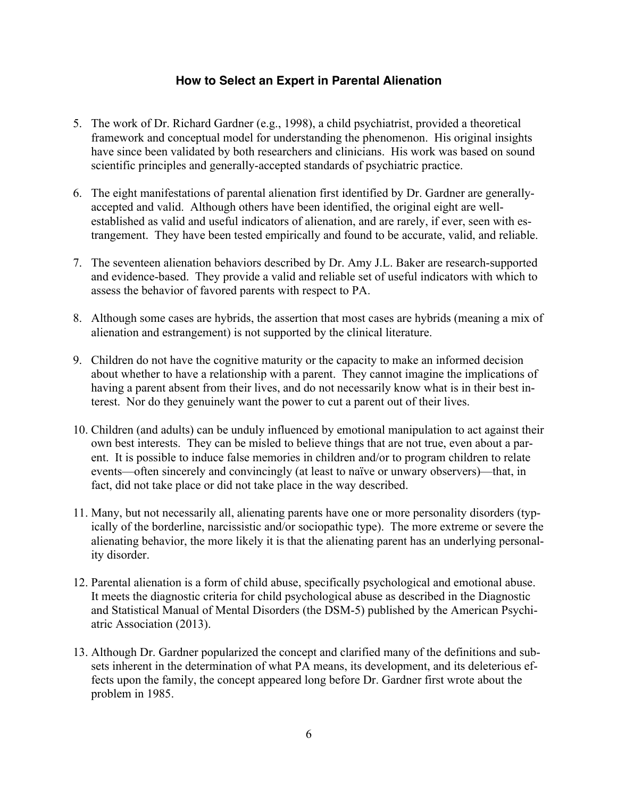- 5. The work of Dr. Richard Gardner (e.g., 1998), a child psychiatrist, provided a theoretical framework and conceptual model for understanding the phenomenon. His original insights have since been validated by both researchers and clinicians. His work was based on sound scientific principles and generally-accepted standards of psychiatric practice.
- 6. The eight manifestations of parental alienation first identified by Dr. Gardner are generallyaccepted and valid. Although others have been identified, the original eight are wellestablished as valid and useful indicators of alienation, and are rarely, if ever, seen with estrangement. They have been tested empirically and found to be accurate, valid, and reliable.
- 7. The seventeen alienation behaviors described by Dr. Amy J.L. Baker are research-supported and evidence-based. They provide a valid and reliable set of useful indicators with which to assess the behavior of favored parents with respect to PA.
- 8. Although some cases are hybrids, the assertion that most cases are hybrids (meaning a mix of alienation and estrangement) is not supported by the clinical literature.
- 9. Children do not have the cognitive maturity or the capacity to make an informed decision about whether to have a relationship with a parent. They cannot imagine the implications of having a parent absent from their lives, and do not necessarily know what is in their best interest. Nor do they genuinely want the power to cut a parent out of their lives.
- 10. Children (and adults) can be unduly influenced by emotional manipulation to act against their own best interests. They can be misled to believe things that are not true, even about a parent. It is possible to induce false memories in children and/or to program children to relate events—often sincerely and convincingly (at least to naïve or unwary observers)—that, in fact, did not take place or did not take place in the way described.
- 11. Many, but not necessarily all, alienating parents have one or more personality disorders (typically of the borderline, narcissistic and/or sociopathic type). The more extreme or severe the alienating behavior, the more likely it is that the alienating parent has an underlying personality disorder.
- 12. Parental alienation is a form of child abuse, specifically psychological and emotional abuse. It meets the diagnostic criteria for child psychological abuse as described in the Diagnostic and Statistical Manual of Mental Disorders (the DSM-5) published by the American Psychiatric Association (2013).
- 13. Although Dr. Gardner popularized the concept and clarified many of the definitions and subsets inherent in the determination of what PA means, its development, and its deleterious effects upon the family, the concept appeared long before Dr. Gardner first wrote about the problem in 1985.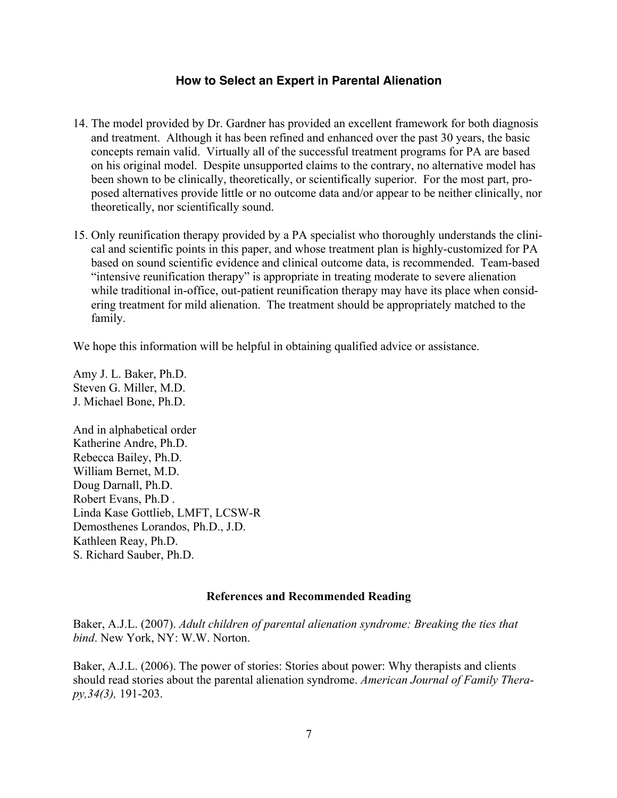- 14. The model provided by Dr. Gardner has provided an excellent framework for both diagnosis and treatment. Although it has been refined and enhanced over the past 30 years, the basic concepts remain valid. Virtually all of the successful treatment programs for PA are based on his original model. Despite unsupported claims to the contrary, no alternative model has been shown to be clinically, theoretically, or scientifically superior. For the most part, proposed alternatives provide little or no outcome data and/or appear to be neither clinically, nor theoretically, nor scientifically sound.
- 15. Only reunification therapy provided by a PA specialist who thoroughly understands the clinical and scientific points in this paper, and whose treatment plan is highly-customized for PA based on sound scientific evidence and clinical outcome data, is recommended. Team-based "intensive reunification therapy" is appropriate in treating moderate to severe alienation while traditional in-office, out-patient reunification therapy may have its place when considering treatment for mild alienation. The treatment should be appropriately matched to the family.

We hope this information will be helpful in obtaining qualified advice or assistance.

Amy J. L. Baker, Ph.D. Steven G. Miller, M.D. J. Michael Bone, Ph.D.

And in alphabetical order Katherine Andre, Ph.D. Rebecca Bailey, Ph.D. William Bernet, M.D. Doug Darnall, Ph.D. Robert Evans, Ph.D . Linda Kase Gottlieb, LMFT, LCSW-R Demosthenes Lorandos, Ph.D., J.D. Kathleen Reay, Ph.D. S. Richard Sauber, Ph.D.

#### **References and Recommended Reading**

Baker, A.J.L. (2007). *Adult children of parental alienation syndrome: Breaking the ties that bind*. New York, NY: W.W. Norton.

Baker, A.J.L. (2006). The power of stories: Stories about power: Why therapists and clients should read stories about the parental alienation syndrome. *American Journal of Family Therapy,34(3),* 191-203.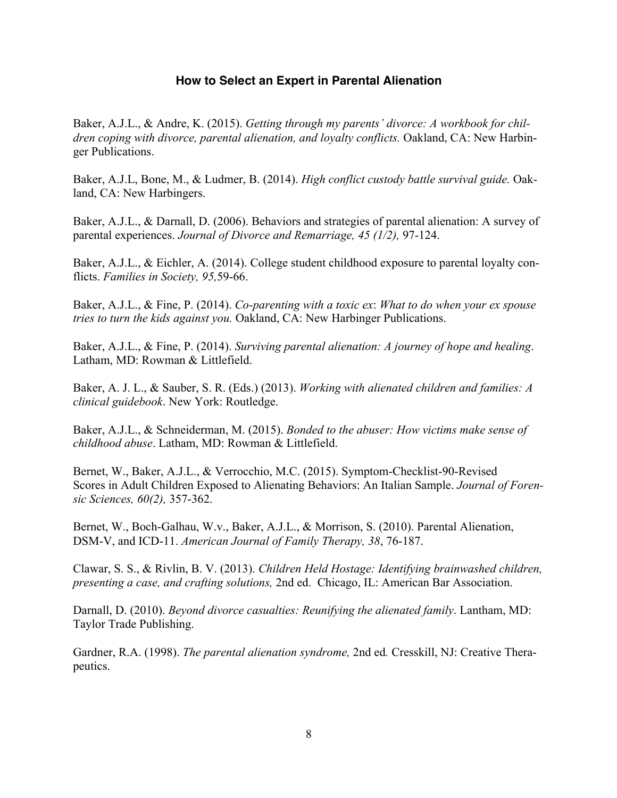Baker, A.J.L., & Andre, K. (2015). *Getting through my parents' divorce: A workbook for children coping with divorce, parental alienation, and loyalty conflicts.* Oakland, CA: New Harbinger Publications.

Baker, A.J.L, Bone, M., & Ludmer, B. (2014). *High conflict custody battle survival guide.* Oakland, CA: New Harbingers.

Baker, A.J.L., & Darnall, D. (2006). Behaviors and strategies of parental alienation: A survey of parental experiences. *Journal of Divorce and Remarriage, 45 (1/2),* 97-124.

Baker, A.J.L., & Eichler, A. (2014). College student childhood exposure to parental loyalty conflicts. *Families in Society, 95,*59-66.

Baker, A.J.L., & Fine, P. (2014). *Co-parenting with a toxic ex*: *What to do when your ex spouse tries to turn the kids against you.* Oakland, CA: New Harbinger Publications.

Baker, A.J.L., & Fine, P. (2014). *Surviving parental alienation: A journey of hope and healing*. Latham, MD: Rowman & Littlefield.

Baker, A. J. L., & Sauber, S. R. (Eds.) (2013). *Working with alienated children and families: A clinical guidebook*. New York: Routledge.

Baker, A.J.L., & Schneiderman, M. (2015). *Bonded to the abuser: How victims make sense of childhood abuse*. Latham, MD: Rowman & Littlefield.

Bernet, W., Baker, A.J.L., & Verrocchio, M.C. (2015). Symptom-Checklist-90-Revised Scores in Adult Children Exposed to Alienating Behaviors: An Italian Sample. *Journal of Forensic Sciences, 60(2),* 357-362.

Bernet, W., Boch-Galhau, W.v., Baker, A.J.L., & Morrison, S. (2010). Parental Alienation, DSM-V, and ICD-11. *American Journal of Family Therapy, 38*, 76-187.

Clawar, S. S., & Rivlin, B. V. (2013). *Children Held Hostage: Identifying brainwashed children, presenting a case, and crafting solutions,* 2nd ed. Chicago, IL: American Bar Association.

Darnall, D. (2010). *Beyond divorce casualties: Reunifying the alienated family*. Lantham, MD: Taylor Trade Publishing.

Gardner, R.A. (1998). *The parental alienation syndrome,* 2nd ed*.* Cresskill, NJ: Creative Therapeutics.